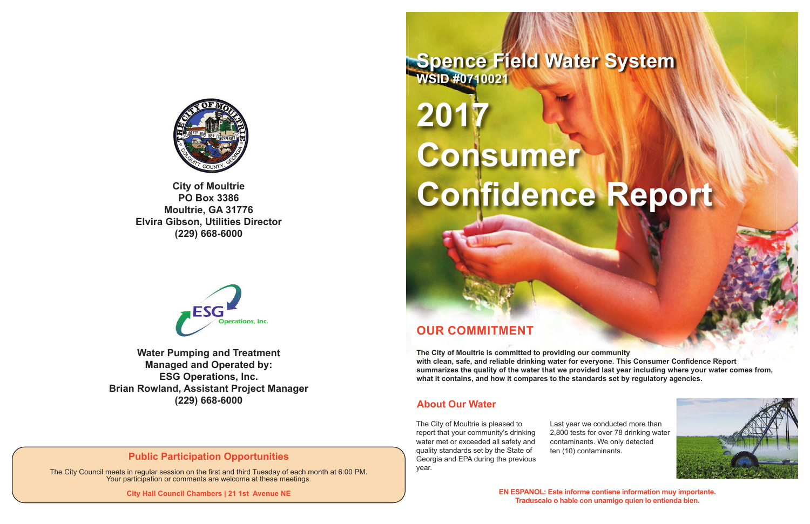# **OUR COMMITMENT**

**The City of Moultrie is committed to providing our community with clean, safe, and reliable drinking water for everyone. This Consumer Confidence Report summarizes the quality of the water that we provided last year including where your water comes from, what it contains, and how it compares to the standards set by regulatory agencies.**

# **2017 Consumer Confidence Report**

The City of Moultrie is pleased to report that your community's drinking water met or exceeded all safety and quality standards set by the State of Georgia and EPA during the previous year.

Last year we conducted more than 2,800 tests for over 78 drinking water contaminants. We only detected ten (10) contaminants.





**EN ESPANOL: Este informe contiene information muy importante. Traduscalo o hable con unamigo quien lo entienda bien.**

**Spence Field Water System WSID #0710021**



**PO Box 3386 Moultrie, GA 31776 Elvira Gibson, Utilities Director (229) 668-6000**



#### **About Our Water**

**Water Pumping and Treatment Managed and Operated by: ESG Operations, Inc. Brian Rowland, Assistant Project Manager (229) 668-6000**

# **Public Participation Opportunities**

The City Council meets in regular session on the first and third Tuesday of each month at 6:00 PM. Your participation or comments are welcome at these meetings.

**City Hall Council Chambers | 21 1st Avenue NE**